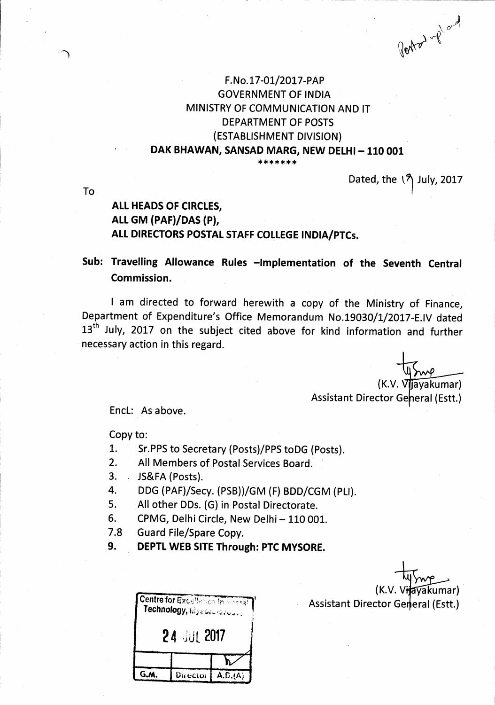Portof of

# F.No.17-01/2017-PAP **GOVERNMENT OF INDIA** MINISTRY OF COMMUNICATION AND IT **DEPARTMENT OF POSTS** (ESTABLISHMENT DIVISION) DAK BHAWAN, SANSAD MARG, NEW DELHI - 110 001

Dated, the  $\sqrt{2}$  July, 2017

To

# ALL HEADS OF CIRCLES. ALL GM (PAF)/DAS (P), ALL DIRECTORS POSTAL STAFF COLLEGE INDIA/PTCs.

# Sub: Travelling Allowance Rules -Implementation of the Seventh Central Commission.

I am directed to forward herewith a copy of the Ministry of Finance, Department of Expenditure's Office Memorandum No.19030/1/2017-E.IV dated 13<sup>th</sup> July, 2017 on the subject cited above for kind information and further necessary action in this regard.

> $(K.V. Vliavakumar)$ **Assistant Director General (Estt.)**

Encl: As above.

Copy to:

- $1.$ Sr.PPS to Secretary (Posts)/PPS toDG (Posts).
- $2.$ All Members of Postal Services Board.
- 3. JS&FA (Posts).
- 4. DDG (PAF)/Secy. (PSB))/GM (F) BDD/CGM (PLI).
- All other DDs. (G) in Postal Directorate. 5.
- 6. CPMG, Delhi Circle, New Delhi - 110 001.
- $7.8$ **Guard File/Spare Copy.**
- 9. DEPTL WEB SITE Through: PTC MYSORE.

|             | Technology, Mysone-brows. | <b>Centre for Excellence in Bestal</b> |
|-------------|---------------------------|----------------------------------------|
| 24 JUL 2017 |                           |                                        |
|             |                           |                                        |
|             | ector                     | A.D.(A)                                |

akumar) **Assistant Director General (Estt.)**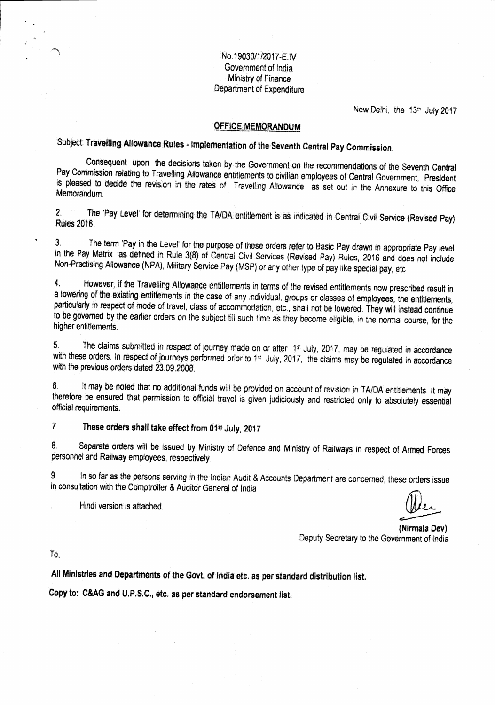No.19030/1/2017-E.IV Government of India Ministry of Finance Department of Expenditure

New Delhi, the 13th July 2017

### **OFFICE MEMORANDUM**

Subject: Travelling Allowance Rules - Implementation of the Seventh Central Pay Commission.

Consequent upon the decisions taken by the Government on the recommendations of the Seventh Central Pay Commission relating to Travelling Allowance entitlements to civilian employees of Central Government, President is pleased to decide the revision in the rates of Travelling Allowance as set out in the Annexure to this Office Memorandum.

The 'Pay Level' for determining the TA/DA entitlement is as indicated in Central Civil Service (Revised Pay)  $2<sup>1</sup>$ **Rules 2016.** 

The term 'Pay in the Level' for the purpose of these orders refer to Basic Pay drawn in appropriate Pay level  $\overline{3}$ in the Pay Matrix as defined in Rule 3(8) of Central Civil Services (Revised Pay) Rules, 2016 and does not include Non-Practising Allowance (NPA), Military Service Pay (MSP) or any other type of pay like special pay, etc

However, if the Travelling Allowance entitlements in terms of the revised entitlements now prescribed result in 4 a lowering of the existing entitlements in the case of any individual, groups or classes of employees, the entitlements, particularly in respect of mode of travel, class of accommodation, etc., shall not be lowered. They will instead continue to be governed by the earlier orders on the subject till such time as they become eligible, in the normal course, for the higher entitlements.

The claims submitted in respect of journey made on or after 1st July, 2017, may be regulated in accordance  $5<sub>1</sub>$ with these orders. In respect of journeys performed prior to 1st July, 2017, the claims may be regulated in accordance with the previous orders dated 23.09.2008.

It may be noted that no additional funds will be provided on account of revision in TA/DA entitlements. It may  $6.$ therefore be ensured that permission to official travel is given judiciously and restricted only to absolutely essential official requirements.

 $\overline{\mathcal{L}}$ These orders shall take effect from 01st July, 2017

Separate orders will be issued by Ministry of Defence and Ministry of Railways in respect of Armed Forces 8. personnel and Railway employees, respectively.

In so far as the persons serving in the Indian Audit & Accounts Department are concerned, these orders issue 9. in consultation with the Comptroller & Auditor General of India.

Hindi version is attached.

(Nirmala Dev) Deputy Secretary to the Government of India

To.

All Ministries and Departments of the Govt. of India etc. as per standard distribution list.

Copy to: C&AG and U.P.S.C., etc. as per standard endorsement list.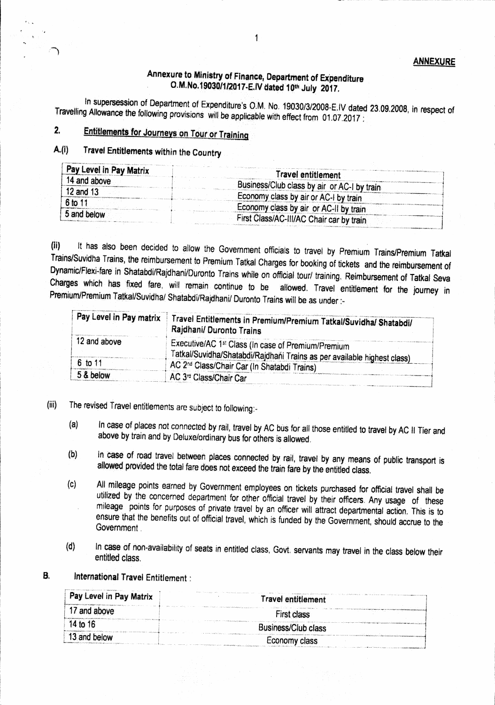## Annexure to Ministry of Finance, Department of Expenditure O.M.No.19030/1/2017-E.IV dated 10th July 2017.

In supersession of Department of Expenditure's O.M. No. 19030/3/2008-E.IV dated 23.09.2008, in respect of Travelling Allowance the following provisions will be applicable with effect from 01.07.2017 :

### $2.$ **Entitlements for Journeys on Tour or Training**

#### $A.(i)$ Travel Entitlements within the Country

| Pay Level in Pay Matrix | <b>fravel entitlement</b>                   |
|-------------------------|---------------------------------------------|
| 14 and above            | Business/Club class by air or AC-I by train |
| 12 and 13               | Economy class by air or AC-I by train       |
| 6 to 11                 | Economy class by air or AC-II by train      |
| 5 and below             | First Class/AC-III/AC Chair car by train    |

It has also been decided to allow the Government officials to travel by Premium Trains/Premium Tatkal  $(ii)$ Trains/Suvidha Trains, the reimbursement to Premium Tatkal Charges for booking of tickets and the reimbursement of Dynamic/Flexi-fare in Shatabdi/Rajdhani/Duronto Trains while on official tour/ training. Reimbursement of Tatkal Seva Charges which has fixed fare, will remain continue to be allowed. Travel entitlement for the journey in Premium/Premium Tatkal/Suvidha/ Shatabdi/Rajdhani/ Duronto Trains will be as under :-

| Pay Level in Pay matrix | Travel Entitlements in Premium/Premium Tatkal/Suvidha/ Shatabdi/<br>Rajdhani/ Duronto Trains                                              |
|-------------------------|-------------------------------------------------------------------------------------------------------------------------------------------|
| 12 and above            | Executive/AC 1 <sup>st</sup> Class (In case of Premium/Premium<br>Tatkal/Suvidha/Shatabdi/Rajdhaňi Trains as per available highest class) |
| 6 to 11                 | AC 2 <sup>nd</sup> Class/Chair Car (In Shatabdi Trains)                                                                                   |
| 5 & below               | AC 3 <sup>rd</sup> Class/Chair Car                                                                                                        |

- The revised Travel entitlements are subject to following:- $(iii)$ 
	- In case of places not connected by rail, travel by AC bus for all those entitled to travel by AC II Tier and  $(a)$ above by train and by Deluxe/ordinary bus for others is allowed.
	- In case of road travel between places connected by rail, travel by any means of public transport is  $(b)$ allowed provided the total fare does not exceed the train fare by the entitled class.
	- All mileage points earned by Government employees on tickets purchased for official travel shall be  $(c)$ utilized by the concerned department for other official travel by their officers. Any usage of these mileage points for purposes of private travel by an officer will attract departmental action. This is to ensure that the benefits out of official travel, which is funded by the Government, should accrue to the Government
	- In case of non-availability of seats in entitled class, Govt. servants may travel in the class below their  $(d)$ entitled class.
- International Travel Entitlement : **B.**

| Pay Level in Pay Matrix                                                                                                                                                                                                                                                                                                                                                                                                                                                                                | Travel entitlement                                                                                                                                                                                                                             |  |
|--------------------------------------------------------------------------------------------------------------------------------------------------------------------------------------------------------------------------------------------------------------------------------------------------------------------------------------------------------------------------------------------------------------------------------------------------------------------------------------------------------|------------------------------------------------------------------------------------------------------------------------------------------------------------------------------------------------------------------------------------------------|--|
| 17 and above                                                                                                                                                                                                                                                                                                                                                                                                                                                                                           | .<br>A construction of the community of the contract of the community of the contract of the contract of the contract of<br>sa cha comando complemental programma aproximadamente al modern<br>First class                                     |  |
| $14$ to $16$<br>$\label{eq:constrained} \begin{aligned} \text{for } \texttt{CCTM} & \texttt{in} \texttt{in} & \texttt{in} \texttt{in} & \texttt{in} \texttt{in} & \texttt{in} \texttt{in} & \texttt{in} & \texttt{in} & \texttt{in} & \texttt{in} & \texttt{out} & \texttt{out} & \texttt{out} & \texttt{out} & \texttt{out} & \texttt{out} & \texttt{out} & \texttt{out} & \texttt{out} & \texttt{out} & \texttt{out} & \texttt{out} & \texttt{out} & \texttt{out} & \texttt{out} & \texttt{out} & \$ | Business/Club class                                                                                                                                                                                                                            |  |
| 13 and below                                                                                                                                                                                                                                                                                                                                                                                                                                                                                           | -conomy class<br>Marchine and the control of the control and design and an action of the control of the control of the control of the control of the control of the control of the control of the control of the control of the control of the |  |